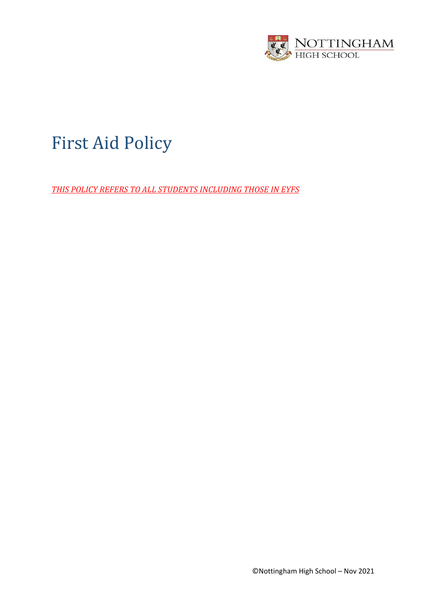

# First Aid Policy

*THIS POLICY REFERS TO ALL STUDENTS INCLUDING THOSE IN EYFS*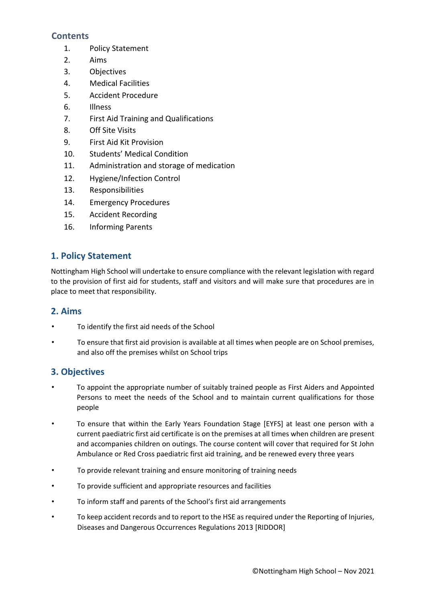## **Contents**

- 1. Policy Statement
- 2. Aims
- 3. Objectives
- 4. Medical Facilities
- 5. Accident Procedure
- 6. Illness
- 7. First Aid Training and Qualifications
- 8. Off Site Visits
- 9. First Aid Kit Provision
- 10. Students' Medical Condition
- 11. Administration and storage of medication
- 12. Hygiene/Infection Control
- 13. Responsibilities
- 14. Emergency Procedures
- 15. Accident Recording
- 16. Informing Parents

# **1. Policy Statement**

Nottingham High School will undertake to ensure compliance with the relevant legislation with regard to the provision of first aid for students, staff and visitors and will make sure that procedures are in place to meet that responsibility.

### **2. Aims**

- To identify the first aid needs of the School
- To ensure that first aid provision is available at all times when people are on School premises, and also off the premises whilst on School trips

## **3. Objectives**

- To appoint the appropriate number of suitably trained people as First Aiders and Appointed Persons to meet the needs of the School and to maintain current qualifications for those people
- To ensure that within the Early Years Foundation Stage [EYFS] at least one person with a current paediatric first aid certificate is on the premises at all times when children are present and accompanies children on outings. The course content will cover that required for St John Ambulance or Red Cross paediatric first aid training, and be renewed every three years
- To provide relevant training and ensure monitoring of training needs
- To provide sufficient and appropriate resources and facilities
- To inform staff and parents of the School's first aid arrangements
- To keep accident records and to report to the HSE as required under the Reporting of Injuries, Diseases and Dangerous Occurrences Regulations 2013 [RIDDOR]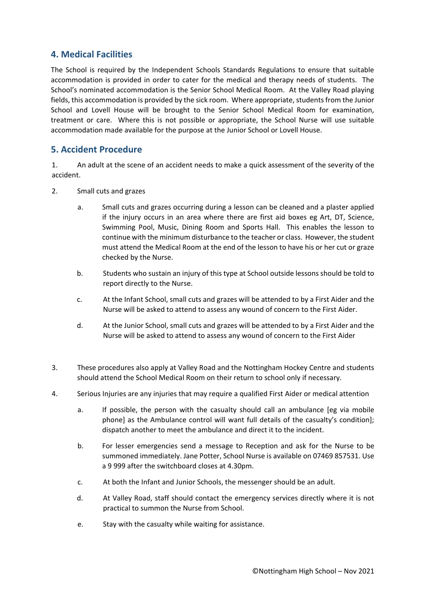## **4. Medical Facilities**

The School is required by the Independent Schools Standards Regulations to ensure that suitable accommodation is provided in order to cater for the medical and therapy needs of students. The School's nominated accommodation is the Senior School Medical Room. At the Valley Road playing fields, this accommodation is provided by the sick room. Where appropriate, students from the Junior School and Lovell House will be brought to the Senior School Medical Room for examination, treatment or care. Where this is not possible or appropriate, the School Nurse will use suitable accommodation made available for the purpose at the Junior School or Lovell House.

## **5. Accident Procedure**

1. An adult at the scene of an accident needs to make a quick assessment of the severity of the accident.

- 2. Small cuts and grazes
	- a. Small cuts and grazes occurring during a lesson can be cleaned and a plaster applied if the injury occurs in an area where there are first aid boxes eg Art, DT, Science, Swimming Pool, Music, Dining Room and Sports Hall. This enables the lesson to continue with the minimum disturbance to the teacher or class. However, the student must attend the Medical Room at the end of the lesson to have his or her cut or graze checked by the Nurse.
	- b. Students who sustain an injury of this type at School outside lessons should be told to report directly to the Nurse.
	- c. At the Infant School, small cuts and grazes will be attended to by a First Aider and the Nurse will be asked to attend to assess any wound of concern to the First Aider.
	- d. At the Junior School, small cuts and grazes will be attended to by a First Aider and the Nurse will be asked to attend to assess any wound of concern to the First Aider
- 3. These procedures also apply at Valley Road and the Nottingham Hockey Centre and students should attend the School Medical Room on their return to school only if necessary.
- 4. Serious Injuries are any injuries that may require a qualified First Aider or medical attention
	- a. If possible, the person with the casualty should call an ambulance [eg via mobile phone] as the Ambulance control will want full details of the casualty's condition]; dispatch another to meet the ambulance and direct it to the incident.
	- b. For lesser emergencies send a message to Reception and ask for the Nurse to be summoned immediately. Jane Potter, School Nurse is available on 07469 857531. Use a 9 999 after the switchboard closes at 4.30pm.
	- c. At both the Infant and Junior Schools, the messenger should be an adult.
	- d. At Valley Road, staff should contact the emergency services directly where it is not practical to summon the Nurse from School.
	- e. Stay with the casualty while waiting for assistance.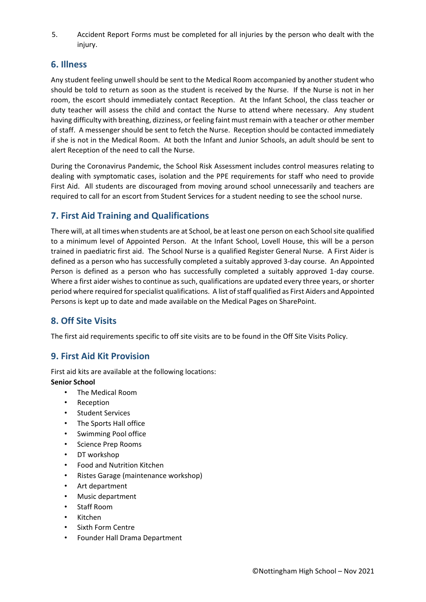5. Accident Report Forms must be completed for all injuries by the person who dealt with the injury.

## **6. Illness**

Any student feeling unwell should be sent to the Medical Room accompanied by another student who should be told to return as soon as the student is received by the Nurse. If the Nurse is not in her room, the escort should immediately contact Reception. At the Infant School, the class teacher or duty teacher will assess the child and contact the Nurse to attend where necessary. Any student having difficulty with breathing, dizziness, or feeling faint must remain with a teacher or other member of staff. A messenger should be sent to fetch the Nurse. Reception should be contacted immediately if she is not in the Medical Room. At both the Infant and Junior Schools, an adult should be sent to alert Reception of the need to call the Nurse.

During the Coronavirus Pandemic, the School Risk Assessment includes control measures relating to dealing with symptomatic cases, isolation and the PPE requirements for staff who need to provide First Aid. All students are discouraged from moving around school unnecessarily and teachers are required to call for an escort from Student Services for a student needing to see the school nurse.

# **7. First Aid Training and Qualifications**

There will, at all times when students are at School, be at least one person on each School site qualified to a minimum level of Appointed Person. At the Infant School, Lovell House, this will be a person trained in paediatric first aid. The School Nurse is a qualified Register General Nurse. A First Aider is defined as a person who has successfully completed a suitably approved 3-day course. An Appointed Person is defined as a person who has successfully completed a suitably approved 1-day course. Where a first aider wishes to continue as such, qualifications are updated every three years, or shorter period where required for specialist qualifications. A list of staff qualified as First Aiders and Appointed Persons is kept up to date and made available on the Medical Pages on SharePoint.

## **8. Off Site Visits**

The first aid requirements specific to off site visits are to be found in the Off Site Visits Policy.

## **9. First Aid Kit Provision**

First aid kits are available at the following locations: **Senior School** 

- The Medical Room
- Reception
- Student Services
- The Sports Hall office
- Swimming Pool office
- Science Prep Rooms
- DT workshop
- Food and Nutrition Kitchen
- Ristes Garage (maintenance workshop)
- Art department
- Music department
- Staff Room
- Kitchen
- Sixth Form Centre
- Founder Hall Drama Department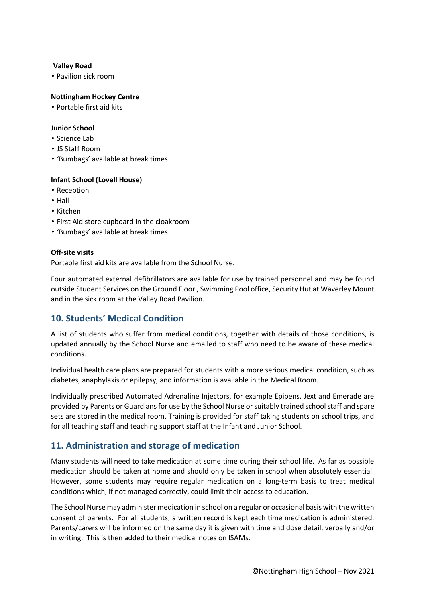#### **Valley Road**

• Pavilion sick room

#### **Nottingham Hockey Centre**

• Portable first aid kits

#### **Junior School**

- Science Lab
- JS Staff Room
- 'Bumbags' available at break times

#### **Infant School (Lovell House)**

- Reception
- Hall
- Kitchen
- First Aid store cupboard in the cloakroom
- 'Bumbags' available at break times

#### **Off-site visits**

Portable first aid kits are available from the School Nurse.

Four automated external defibrillators are available for use by trained personnel and may be found outside Student Services on the Ground Floor , Swimming Pool office, Security Hut at Waverley Mount and in the sick room at the Valley Road Pavilion.

# **10. Students' Medical Condition**

A list of students who suffer from medical conditions, together with details of those conditions, is updated annually by the School Nurse and emailed to staff who need to be aware of these medical conditions.

Individual health care plans are prepared for students with a more serious medical condition, such as diabetes, anaphylaxis or epilepsy, and information is available in the Medical Room.

Individually prescribed Automated Adrenaline Injectors, for example Epipens, Jext and Emerade are provided by Parents or Guardians for use by the School Nurse or suitably trained school staff and spare sets are stored in the medical room. Training is provided for staff taking students on school trips, and for all teaching staff and teaching support staff at the Infant and Junior School.

## **11. Administration and storage of medication**

Many students will need to take medication at some time during their school life. As far as possible medication should be taken at home and should only be taken in school when absolutely essential. However, some students may require regular medication on a long-term basis to treat medical conditions which, if not managed correctly, could limit their access to education.

The School Nurse may administer medication in school on a regular or occasional basis with the written consent of parents. For all students, a written record is kept each time medication is administered. Parents/carers will be informed on the same day it is given with time and dose detail, verbally and/or in writing. This is then added to their medical notes on ISAMs.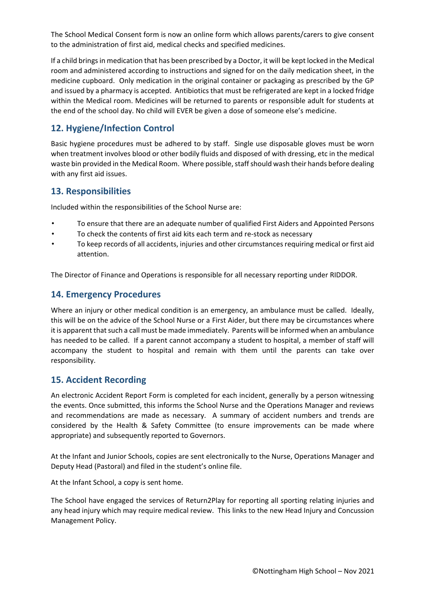The School Medical Consent form is now an online form which allows parents/carers to give consent to the administration of first aid, medical checks and specified medicines.

If a child brings in medication that has been prescribed by a Doctor, it will be kept locked in the Medical room and administered according to instructions and signed for on the daily medication sheet, in the medicine cupboard. Only medication in the original container or packaging as prescribed by the GP and issued by a pharmacy is accepted. Antibiotics that must be refrigerated are kept in a locked fridge within the Medical room. Medicines will be returned to parents or responsible adult for students at the end of the school day. No child will EVER be given a dose of someone else's medicine.

# **12. Hygiene/Infection Control**

Basic hygiene procedures must be adhered to by staff. Single use disposable gloves must be worn when treatment involves blood or other bodily fluids and disposed of with dressing, etc in the medical waste bin provided in the Medical Room. Where possible, staff should wash their hands before dealing with any first aid issues.

## **13. Responsibilities**

Included within the responsibilities of the School Nurse are:

- To ensure that there are an adequate number of qualified First Aiders and Appointed Persons
- To check the contents of first aid kits each term and re-stock as necessary
- To keep records of all accidents, injuries and other circumstances requiring medical or first aid attention.

The Director of Finance and Operations is responsible for all necessary reporting under RIDDOR.

## **14. Emergency Procedures**

Where an injury or other medical condition is an emergency, an ambulance must be called. Ideally, this will be on the advice of the School Nurse or a First Aider, but there may be circumstances where it is apparent that such a call must be made immediately. Parents will be informed when an ambulance has needed to be called. If a parent cannot accompany a student to hospital, a member of staff will accompany the student to hospital and remain with them until the parents can take over responsibility.

## **15. Accident Recording**

An electronic Accident Report Form is completed for each incident, generally by a person witnessing the events. Once submitted, this informs the School Nurse and the Operations Manager and reviews and recommendations are made as necessary. A summary of accident numbers and trends are considered by the Health & Safety Committee (to ensure improvements can be made where appropriate) and subsequently reported to Governors.

At the Infant and Junior Schools, copies are sent electronically to the Nurse, Operations Manager and Deputy Head (Pastoral) and filed in the student's online file.

At the Infant School, a copy is sent home.

The School have engaged the services of Return2Play for reporting all sporting relating injuries and any head injury which may require medical review. This links to the new Head Injury and Concussion Management Policy.